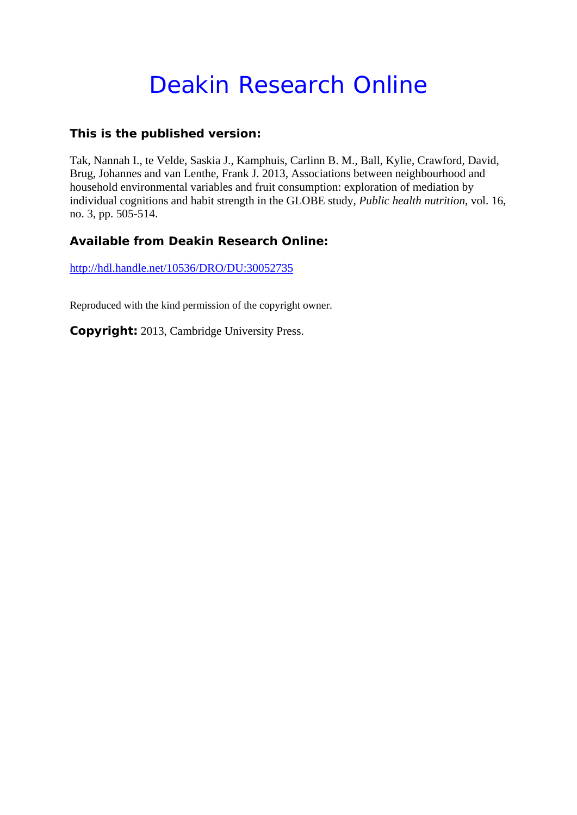# Deakin Research Online

## **This is the published version:**

Tak, Nannah I., te Velde, Saskia J., Kamphuis, Carlinn B. M., Ball, Kylie, Crawford, David, Brug, Johannes and van Lenthe, Frank J. 2013, Associations between neighbourhood and household environmental variables and fruit consumption: exploration of mediation by individual cognitions and habit strength in the GLOBE study*, Public health nutrition*, vol. 16, no. 3, pp. 505-514.

# **Available from Deakin Research Online:**

http://hdl.handle.net/10536/DRO/DU:30052735

Reproduced with the kind permission of the copyright owner.

**Copyright:** 2013, Cambridge University Press.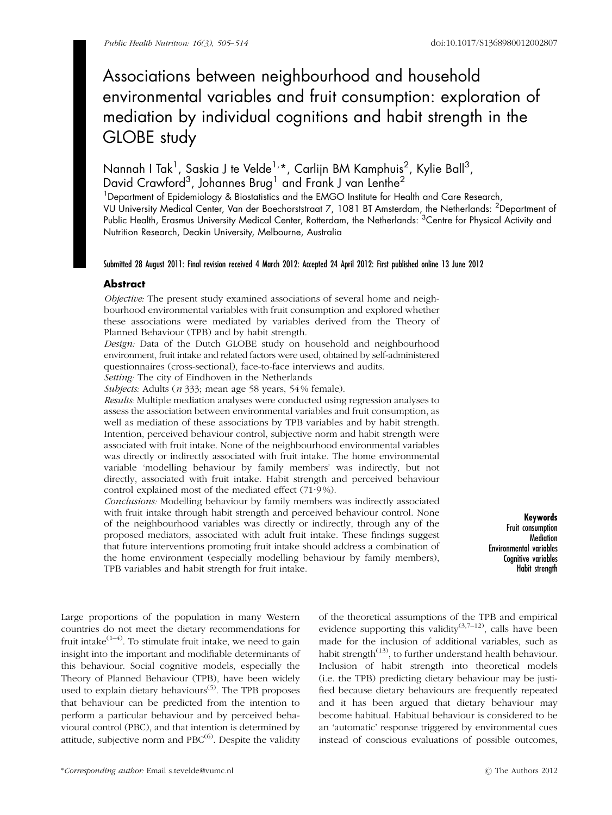# Associations between neighbourhood and household environmental variables and fruit consumption: exploration of mediation by individual cognitions and habit strength in the GLOBE study

## Nannah I Tak<sup>1</sup>, Saskia J te Velde<sup>1,</sup>\*, Carlijn BM Kamphuis<sup>2</sup>, Kylie Ball<sup>3</sup>, David Crawford $^3$ , Johannes Brug $^1$  and Frank J van Lenthe $^2$

<sup>1</sup>Department of Epidemiology & Biostatistics and the EMGO Institute for Health and Care Research, VU University Medical Center, Van der Boechorststraat 7, 1081 BT Amsterdam, the Netherlands: <sup>2</sup> Department of Public Health, Erasmus University Medical Center, Rotterdam, the Netherlands: <sup>3</sup>Centre for Physical Activity and Nutrition Research, Deakin University, Melbourne, Australia

#### Submitted 28 August 2011: Final revision received 4 March 2012: Accepted 24 April 2012: First published online 13 June 2012

#### Abstract

Objective: The present study examined associations of several home and neighbourhood environmental variables with fruit consumption and explored whether these associations were mediated by variables derived from the Theory of Planned Behaviour (TPB) and by habit strength.

Design: Data of the Dutch GLOBE study on household and neighbourhood environment, fruit intake and related factors were used, obtained by self-administered questionnaires (cross-sectional), face-to-face interviews and audits.

Setting: The city of Eindhoven in the Netherlands

Subjects: Adults (*n* 333; mean age 58 years, 54% female).

Results: Multiple mediation analyses were conducted using regression analyses to assess the association between environmental variables and fruit consumption, as well as mediation of these associations by TPB variables and by habit strength. Intention, perceived behaviour control, subjective norm and habit strength were associated with fruit intake. None of the neighbourhood environmental variables was directly or indirectly associated with fruit intake. The home environmental variable 'modelling behaviour by family members' was indirectly, but not directly, associated with fruit intake. Habit strength and perceived behaviour control explained most of the mediated effect (71.9%).

Conclusions: Modelling behaviour by family members was indirectly associated with fruit intake through habit strength and perceived behaviour control. None of the neighbourhood variables was directly or indirectly, through any of the proposed mediators, associated with adult fruit intake. These findings suggest that future interventions promoting fruit intake should address a combination of the home environment (especially modelling behaviour by family members), TPB variables and habit strength for fruit intake.

Keywords Fruit consumption **Mediation** Environmental variables Cognitive variables Habit strength

Large proportions of the population in many Western countries do not meet the dietary recommendations for fruit intake $(1-4)$ . To stimulate fruit intake, we need to gain insight into the important and modifiable determinants of this behaviour. Social cognitive models, especially the Theory of Planned Behaviour (TPB), have been widely used to explain dietary behaviours<sup>[\(5\)](#page-9-0)</sup>. The TPB proposes that behaviour can be predicted from the intention to perform a particular behaviour and by perceived behavioural control (PBC), and that intention is determined by attitude, subjective norm and  $PBC^{(6)}$  $PBC^{(6)}$  $PBC^{(6)}$ . Despite the validity of the theoretical assumptions of the TPB and empirical evidence supporting this validity<sup>[\(3,7](#page-9-0)-[12\)](#page-9-0)</sup>, calls have been made for the inclusion of additional variables, such as habit strength $(13)$  $(13)$ , to further understand health behaviour. Inclusion of habit strength into theoretical models (i.e. the TPB) predicting dietary behaviour may be justified because dietary behaviours are frequently repeated and it has been argued that dietary behaviour may become habitual. Habitual behaviour is considered to be an 'automatic' response triggered by environmental cues instead of conscious evaluations of possible outcomes,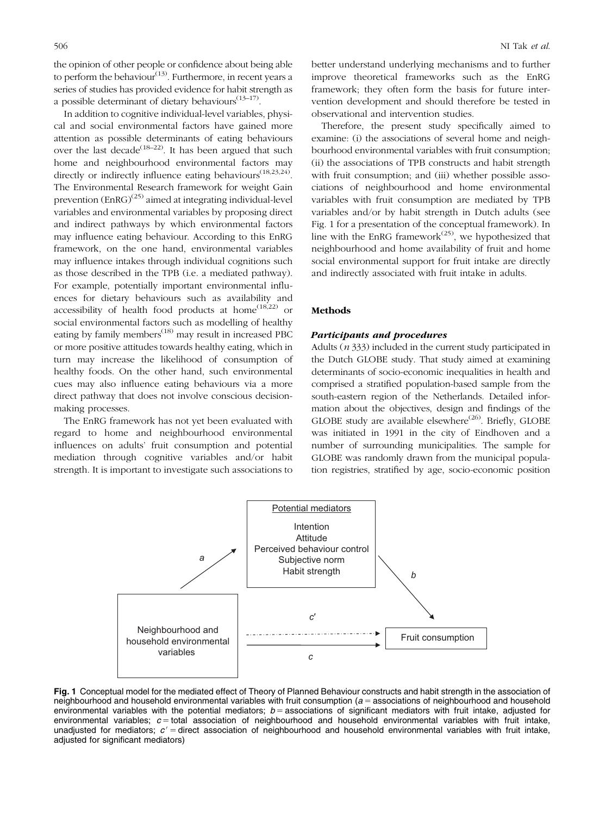<span id="page-2-0"></span>the opinion of other people or confidence about being able to perform the behaviour<sup>([13](#page-9-0))</sup>. Furthermore, in recent years a series of studies has provided evidence for habit strength as a possible determinant of dietary behaviours $(13-17)$  $(13-17)$  $(13-17)$  $(13-17)$ .

In addition to cognitive individual-level variables, physical and social environmental factors have gained more attention as possible determinants of eating behaviours over the last decade<sup>([18–22](#page-10-0))</sup>. It has been argued that such home and neighbourhood environmental factors may directly or indirectly influence eating behaviours<sup>[\(18,23](#page-10-0),[24\)](#page-10-0)</sup>. The Environmental Research framework for weight Gain prevention  $(EnRG)^{(25)}$  $(EnRG)^{(25)}$  $(EnRG)^{(25)}$  aimed at integrating individual-level variables and environmental variables by proposing direct and indirect pathways by which environmental factors may influence eating behaviour. According to this EnRG framework, on the one hand, environmental variables may influence intakes through individual cognitions such as those described in the TPB (i.e. a mediated pathway). For example, potentially important environmental influences for dietary behaviours such as availability and accessibility of health food products at home<sup> $(18,22)$  $(18,22)$ </sup> or social environmental factors such as modelling of healthy eating by family members<sup>[\(18](#page-10-0))</sup> may result in increased PBC or more positive attitudes towards healthy eating, which in turn may increase the likelihood of consumption of healthy foods. On the other hand, such environmental cues may also influence eating behaviours via a more direct pathway that does not involve conscious decisionmaking processes.

The EnRG framework has not yet been evaluated with regard to home and neighbourhood environmental influences on adults' fruit consumption and potential mediation through cognitive variables and/or habit strength. It is important to investigate such associations to better understand underlying mechanisms and to further improve theoretical frameworks such as the EnRG framework; they often form the basis for future intervention development and should therefore be tested in observational and intervention studies.

Therefore, the present study specifically aimed to examine: (i) the associations of several home and neighbourhood environmental variables with fruit consumption; (ii) the associations of TPB constructs and habit strength with fruit consumption; and (iii) whether possible associations of neighbourhood and home environmental variables with fruit consumption are mediated by TPB variables and/or by habit strength in Dutch adults (see Fig. 1 for a presentation of the conceptual framework). In line with the EnRG framework<sup> $(25)$  $(25)$ </sup>, we hypothesized that neighbourhood and home availability of fruit and home social environmental support for fruit intake are directly and indirectly associated with fruit intake in adults.

#### Methods

#### Participants and procedures

Adults (n 333) included in the current study participated in the Dutch GLOBE study. That study aimed at examining determinants of socio-economic inequalities in health and comprised a stratified population-based sample from the south-eastern region of the Netherlands. Detailed information about the objectives, design and findings of the GLOBE study are available elsewhere<sup>([26\)](#page-10-0)</sup>. Briefly, GLOBE was initiated in 1991 in the city of Eindhoven and a number of surrounding municipalities. The sample for GLOBE was randomly drawn from the municipal population registries, stratified by age, socio-economic position



Fig. 1 Conceptual model for the mediated effect of Theory of Planned Behaviour constructs and habit strength in the association of neighbourhood and household environmental variables with fruit consumption  $(a =$  associations of neighbourhood and household environmental variables with the potential mediators;  $b =$  associations of significant mediators with fruit intake, adjusted for environmental variables;  $c =$  total association of neighbourhood and household environmental variables with fruit intake, unadjusted for mediators;  $c'$  = direct association of neighbourhood and household environmental variables with fruit intake, adjusted for significant mediators)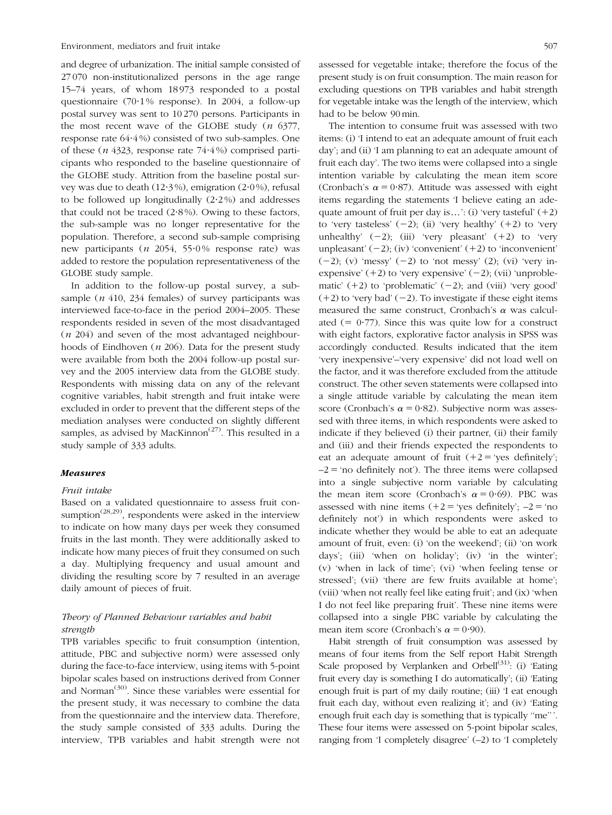and degree of urbanization. The initial sample consisted of 27 070 non-institutionalized persons in the age range 15–74 years, of whom 18 973 responded to a postal questionnaire (70 $\cdot$ 1% response). In 2004, a follow-up postal survey was sent to 10 270 persons. Participants in the most recent wave of the GLOBE study  $(n \t 6377,$ response rate  $64.4\%$ ) consisted of two sub-samples. One of these ( $n$  4323, response rate 74 $\cdot$ 4%) comprised participants who responded to the baseline questionnaire of the GLOBE study. Attrition from the baseline postal survey was due to death  $(12.3\%)$ , emigration  $(2.0\%)$ , refusal to be followed up longitudinally  $(2.2\%)$  and addresses that could not be traced  $(2.8\%)$ . Owing to these factors, the sub-sample was no longer representative for the population. Therefore, a second sub-sample comprising new participants ( $n$  2054, 55 $\cdot$ 0% response rate) was added to restore the population representativeness of the GLOBE study sample.

In addition to the follow-up postal survey, a subsample ( $n$  410, 234 females) of survey participants was interviewed face-to-face in the period 2004–2005. These respondents resided in seven of the most disadvantaged (n 204) and seven of the most advantaged neighbourhoods of Eindhoven ( $n$  206). Data for the present study were available from both the 2004 follow-up postal survey and the 2005 interview data from the GLOBE study. Respondents with missing data on any of the relevant cognitive variables, habit strength and fruit intake were excluded in order to prevent that the different steps of the mediation analyses were conducted on slightly different samples, as advised by MacKinnon<sup> $(27)$ </sup>. This resulted in a study sample of 333 adults.

#### Measures

#### Fruit intake

Based on a validated questionnaire to assess fruit consumption<sup> $(28,29)$  $(28,29)$ </sup>, respondents were asked in the interview to indicate on how many days per week they consumed fruits in the last month. They were additionally asked to indicate how many pieces of fruit they consumed on such a day. Multiplying frequency and usual amount and dividing the resulting score by 7 resulted in an average daily amount of pieces of fruit.

#### Theory of Planned Behaviour variables and habit strength

TPB variables specific to fruit consumption (intention, attitude, PBC and subjective norm) were assessed only during the face-to-face interview, using items with 5-point bipolar scales based on instructions derived from Conner and Norman<sup>([30\)](#page-10-0)</sup>. Since these variables were essential for the present study, it was necessary to combine the data from the questionnaire and the interview data. Therefore, the study sample consisted of 333 adults. During the interview, TPB variables and habit strength were not

assessed for vegetable intake; therefore the focus of the present study is on fruit consumption. The main reason for excluding questions on TPB variables and habit strength for vegetable intake was the length of the interview, which had to be below 90min.

The intention to consume fruit was assessed with two items: (i) 'I intend to eat an adequate amount of fruit each day'; and (ii) 'I am planning to eat an adequate amount of fruit each day'. The two items were collapsed into a single intention variable by calculating the mean item score (Cronbach's  $\alpha = 0.87$ ). Attitude was assessed with eight items regarding the statements 'I believe eating an adequate amount of fruit per day is...': (i) 'very tasteful'  $(+2)$ to 'very tasteless'  $(-2)$ ; (ii) 'very healthy'  $(+2)$  to 'very unhealthy'  $(-2)$ ; (iii) 'very pleasant'  $(+2)$  to 'very unpleasant'  $(-2)$ ; (iv) 'convenient'  $(+2)$  to 'inconvenient'  $(-2)$ ; (v) 'messy'  $(-2)$  to 'not messy'  $(2)$ ; (vi) 'very inexpensive'  $(+2)$  to 'very expensive'  $(-2)$ ; (vii) 'unproblematic'  $(+2)$  to 'problematic'  $(-2)$ ; and (viii) 'very good'  $(+2)$  to 'very bad'  $(-2)$ . To investigate if these eight items measured the same construct, Cronbach's  $\alpha$  was calculated  $(= 0.77)$ . Since this was quite low for a construct with eight factors, explorative factor analysis in SPSS was accordingly conducted. Results indicated that the item 'very inexpensive'–'very expensive' did not load well on the factor, and it was therefore excluded from the attitude construct. The other seven statements were collapsed into a single attitude variable by calculating the mean item score (Cronbach's  $\alpha$  = 0.82). Subjective norm was assessed with three items, in which respondents were asked to indicate if they believed (i) their partner, (ii) their family and (iii) and their friends expected the respondents to eat an adequate amount of fruit  $(+2 = 'yes$  definitely';  $-2$  = 'no definitely not'). The three items were collapsed into a single subjective norm variable by calculating the mean item score (Cronbach's  $\alpha = 0.69$ ). PBC was assessed with nine items  $(+2 = 'yes$  definitely';  $-2 = 'no$ definitely not') in which respondents were asked to indicate whether they would be able to eat an adequate amount of fruit, even: (i) 'on the weekend'; (ii) 'on work days'; (iii) 'when on holiday'; (iv) 'in the winter'; (v) 'when in lack of time'; (vi) 'when feeling tense or stressed'; (vii) 'there are few fruits available at home'; (viii) 'when not really feel like eating fruit'; and (ix) 'when I do not feel like preparing fruit'. These nine items were collapsed into a single PBC variable by calculating the mean item score (Cronbach's  $\alpha = 0.90$ ).

Habit strength of fruit consumption was assessed by means of four items from the Self report Habit Strength Scale proposed by Verplanken and Orbell<sup>[\(31\)](#page-10-0)</sup>: (i) 'Eating fruit every day is something I do automatically'; (ii) 'Eating enough fruit is part of my daily routine; (iii) 'I eat enough fruit each day, without even realizing it'; and (iv) 'Eating enough fruit each day is something that is typically ''me'''. These four items were assessed on 5-point bipolar scales, ranging from 'I completely disagree' (–2) to 'I completely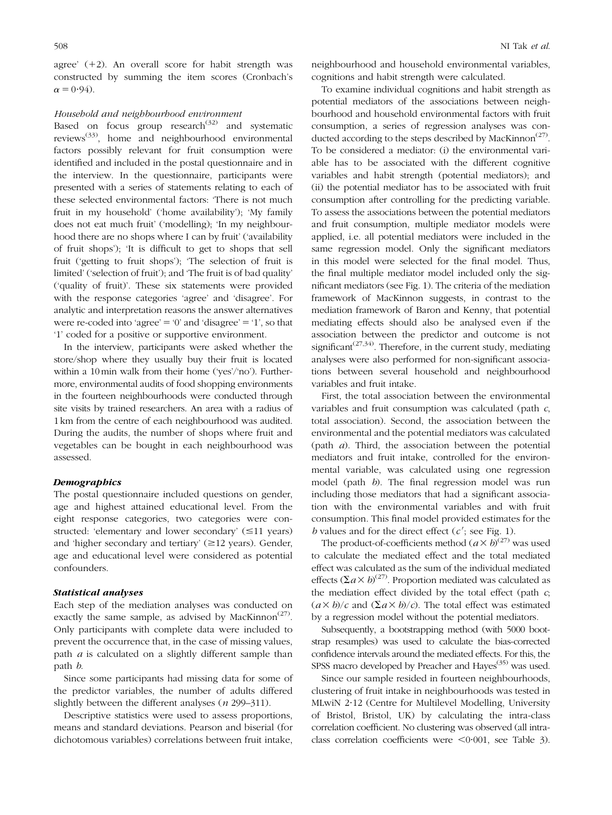agree'  $(+2)$ . An overall score for habit strength was constructed by summing the item scores (Cronbach's  $\alpha = 0.94$ .

#### Household and neighbourhood environment

Based on focus group research $^{(32)}$  $^{(32)}$  $^{(32)}$  and systematic reviews([33\)](#page-10-0), home and neighbourhood environmental factors possibly relevant for fruit consumption were identified and included in the postal questionnaire and in the interview. In the questionnaire, participants were presented with a series of statements relating to each of these selected environmental factors: 'There is not much fruit in my household' ('home availability'); 'My family does not eat much fruit' ('modelling); 'In my neighbourhood there are no shops where I can by fruit' ('availability of fruit shops'); 'It is difficult to get to shops that sell fruit ('getting to fruit shops'); 'The selection of fruit is limited' ('selection of fruit'); and 'The fruit is of bad quality' ('quality of fruit)'. These six statements were provided with the response categories 'agree' and 'disagree'. For analytic and interpretation reasons the answer alternatives were re-coded into 'agree'  $=$  '0' and 'disagree'  $=$  '1', so that '1' coded for a positive or supportive environment.

In the interview, participants were asked whether the store/shop where they usually buy their fruit is located within a 10 min walk from their home ('yes'/'no'). Furthermore, environmental audits of food shopping environments in the fourteen neighbourhoods were conducted through site visits by trained researchers. An area with a radius of 1km from the centre of each neighbourhood was audited. During the audits, the number of shops where fruit and vegetables can be bought in each neighbourhood was assessed.

#### **Demographics**

The postal questionnaire included questions on gender, age and highest attained educational level. From the eight response categories, two categories were constructed: 'elementary and lower secondary'  $(\leq 11$  years) and 'higher secondary and tertiary'  $(\geq 12 \text{ years})$ . Gender, age and educational level were considered as potential confounders.

#### Statistical analyses

Each step of the mediation analyses was conducted on exactly the same sample, as advised by MacKinnon<sup> $(27)$  $(27)$ </sup>. Only participants with complete data were included to prevent the occurrence that, in the case of missing values, path  $a$  is calculated on a slightly different sample than path b.

Since some participants had missing data for some of the predictor variables, the number of adults differed slightly between the different analyses (*n* 299–311).

Descriptive statistics were used to assess proportions, means and standard deviations. Pearson and biserial (for dichotomous variables) correlations between fruit intake,

neighbourhood and household environmental variables, cognitions and habit strength were calculated.

To examine individual cognitions and habit strength as potential mediators of the associations between neighbourhood and household environmental factors with fruit consumption, a series of regression analyses was con-ducted according to the steps described by MacKinnon<sup>([27\)](#page-10-0)</sup>. To be considered a mediator: (i) the environmental variable has to be associated with the different cognitive variables and habit strength (potential mediators); and (ii) the potential mediator has to be associated with fruit consumption after controlling for the predicting variable. To assess the associations between the potential mediators and fruit consumption, multiple mediator models were applied, i.e. all potential mediators were included in the same regression model. Only the significant mediators in this model were selected for the final model. Thus, the final multiple mediator model included only the significant mediators (see [Fig. 1](#page-2-0)). The criteria of the mediation framework of MacKinnon suggests, in contrast to the mediation framework of Baron and Kenny, that potential mediating effects should also be analysed even if the association between the predictor and outcome is not significant<sup> $(27,34)$ </sup>. Therefore, in the current study, mediating analyses were also performed for non-significant associations between several household and neighbourhood variables and fruit intake.

First, the total association between the environmental variables and fruit consumption was calculated (path c, total association). Second, the association between the environmental and the potential mediators was calculated (path a). Third, the association between the potential mediators and fruit intake, controlled for the environmental variable, was calculated using one regression model (path b). The final regression model was run including those mediators that had a significant association with the environmental variables and with fruit consumption. This final model provided estimates for the  $b$  values and for the direct effect  $(c'$ ; see [Fig. 1](#page-2-0)).

The product-of-coefficients method  $(a \times b)^{(27)}$  $(a \times b)^{(27)}$  $(a \times b)^{(27)}$  was used to calculate the mediated effect and the total mediated effect was calculated as the sum of the individual mediated effects  $( \Sigma a \times b)^{(27)}$  $( \Sigma a \times b)^{(27)}$  $( \Sigma a \times b)^{(27)}$ . Proportion mediated was calculated as the mediation effect divided by the total effect (path c;  $(a \times b)/c$  and  $(\Sigma a \times b)/c$ . The total effect was estimated by a regression model without the potential mediators.

Subsequently, a bootstrapping method (with 5000 bootstrap resamples) was used to calculate the bias-corrected confidence intervals around the mediated effects. For this, the SPSS macro developed by Preacher and Hayes<sup>[\(35](#page-10-0))</sup> was used.

Since our sample resided in fourteen neighbourhoods, clustering of fruit intake in neighbourhoods was tested in MLwiN 2?12 (Centre for Multilevel Modelling, University of Bristol, Bristol, UK) by calculating the intra-class correlation coefficient. No clustering was observed (all intraclass correlation coefficients were  $\leq 0.001$ , see [Table 3](#page-6-0)).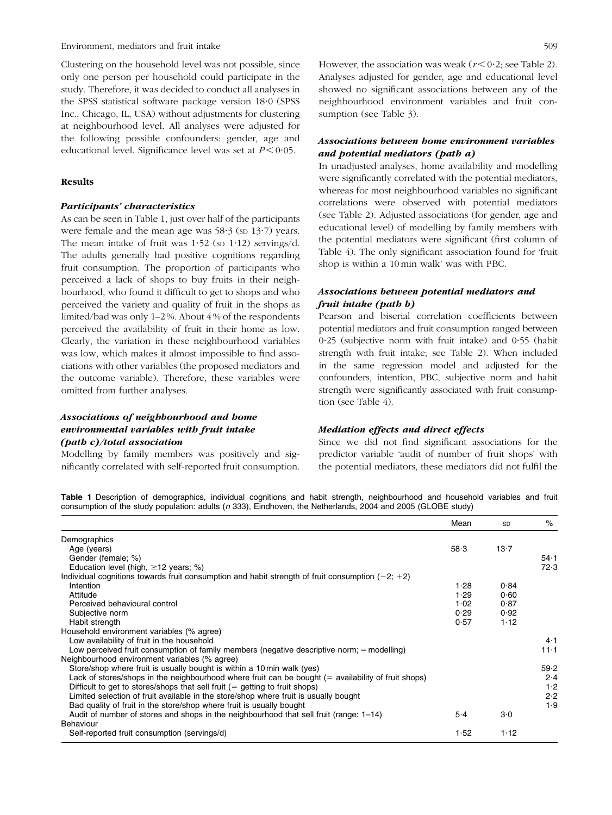Environment, mediators and fruit intake 509

Clustering on the household level was not possible, since only one person per household could participate in the study. Therefore, it was decided to conduct all analyses in the SPSS statistical software package version 18?0 (SPSS Inc., Chicago, IL, USA) without adjustments for clustering at neighbourhood level. All analyses were adjusted for the following possible confounders: gender, age and educational level. Significance level was set at  $P < 0.05$ .

#### Results

#### Participants' characteristics

As can be seen in Table 1, just over half of the participants were female and the mean age was  $58.3$  (sp  $13.7$ ) years. The mean intake of fruit was  $1.52$  (sp  $1.12$ ) servings/d. The adults generally had positive cognitions regarding fruit consumption. The proportion of participants who perceived a lack of shops to buy fruits in their neighbourhood, who found it difficult to get to shops and who perceived the variety and quality of fruit in the shops as limited/bad was only 1–2 %. About 4 % of the respondents perceived the availability of fruit in their home as low. Clearly, the variation in these neighbourhood variables was low, which makes it almost impossible to find associations with other variables (the proposed mediators and the outcome variable). Therefore, these variables were omitted from further analyses.

#### Associations of neighbourhood and home environmental variables with fruit intake (path c)/total association

Modelling by family members was positively and significantly correlated with self-reported fruit consumption. However, the association was weak ( $r < 0.2$ ; see [Table 2\)](#page-6-0). Analyses adjusted for gender, age and educational level showed no significant associations between any of the neighbourhood environment variables and fruit consumption (see [Table 3\)](#page-6-0).

#### Associations between home environment variables and potential mediators (path a)

In unadjusted analyses, home availability and modelling were significantly correlated with the potential mediators, whereas for most neighbourhood variables no significant correlations were observed with potential mediators (see [Table 2](#page-6-0)). Adjusted associations (for gender, age and educational level) of modelling by family members with the potential mediators were significant (first column of [Table 4\)](#page-7-0). The only significant association found for 'fruit shop is within a 10 min walk' was with PBC.

#### Associations between potential mediators and fruit intake (path b)

Pearson and biserial correlation coefficients between potential mediators and fruit consumption ranged between 0?25 (subjective norm with fruit intake) and 0?55 (habit strength with fruit intake; see [Table 2\)](#page-6-0). When included in the same regression model and adjusted for the confounders, intention, PBC, subjective norm and habit strength were significantly associated with fruit consumption (see [Table 4](#page-7-0)).

#### Mediation effects and direct effects

Since we did not find significant associations for the predictor variable 'audit of number of fruit shops' with the potential mediators, these mediators did not fulfil the

Table 1 Description of demographics, individual cognitions and habit strength, neighbourhood and household variables and fruit consumption of the study population: adults (n 333), Eindhoven, the Netherlands, 2004 and 2005 (GLOBE study)

|                                                                                                        | Mean  | <b>SD</b> | $\%$     |
|--------------------------------------------------------------------------------------------------------|-------|-----------|----------|
| Demographics                                                                                           |       |           |          |
| Age (years)                                                                                            | 58.3  | 13.7      |          |
| Gender (female; %)                                                                                     |       |           | $54 - 1$ |
| Education level (high, $\geq$ 12 years; %)                                                             |       |           | 72.3     |
| Individual cognitions towards fruit consumption and habit strength of fruit consumption $(-2; +2)$     |       |           |          |
| Intention                                                                                              | 1.28  | 0.84      |          |
| Attitude                                                                                               | 1.29  | 0.60      |          |
| Perceived behavioural control                                                                          | 1.02  | 0.87      |          |
| Subjective norm                                                                                        | 0.29  | 0.92      |          |
| Habit strength                                                                                         | 0.57  | 1.12      |          |
| Household environment variables (% agree)                                                              |       |           |          |
| Low availability of fruit in the household                                                             |       |           | 4·1      |
| Low perceived fruit consumption of family members (negative descriptive norm; = modelling)             |       |           | $11 - 1$ |
| Neighbourhood environment variables (% agree)                                                          |       |           |          |
| Store/shop where fruit is usually bought is within a 10 min walk (yes)                                 |       |           | 59.2     |
| Lack of stores/shops in the neighbourhood where fruit can be bought $($ = availability of fruit shops) |       |           | 2.4      |
| Difficult to get to stores/shops that sell fruit $(=$ getting to fruit shops)                          |       |           | 1.2      |
| Limited selection of fruit available in the store/shop where fruit is usually bought                   |       |           | 2.2      |
| Bad quality of fruit in the store/shop where fruit is usually bought                                   |       |           | 1.9      |
| Audit of number of stores and shops in the neighbourhood that sell fruit (range: 1-14)                 | $5-4$ | 3·0       |          |
| Behaviour                                                                                              |       |           |          |
| Self-reported fruit consumption (servings/d)                                                           | 1.52  | 1.12      |          |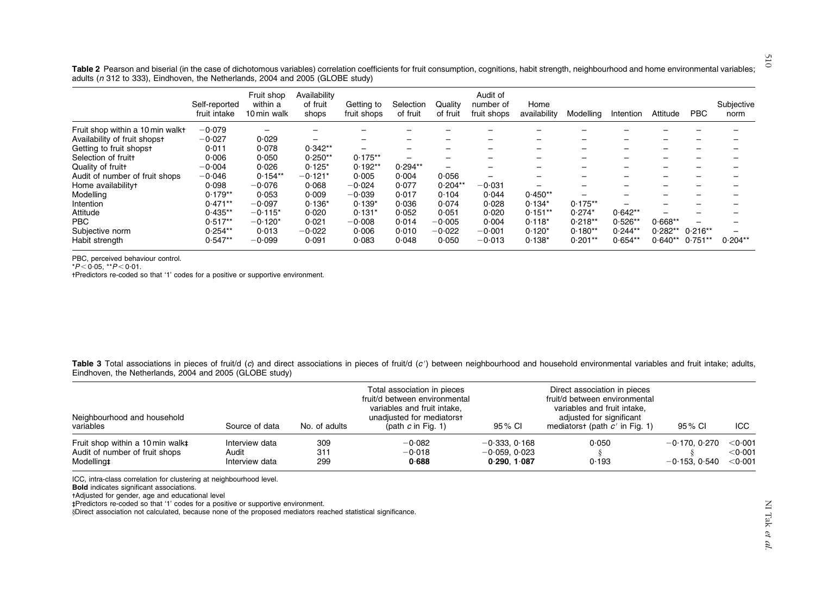<span id="page-6-0"></span>Table 2 Pearson and biserial (in the case of dichotomous variables) correlation coefficients for fruit consumption, cognitions, habit strength, neighbourhood and home environmental variables; adults ( $n$  312 to 333), Eindhoven, the Netherlands, 2004 and 2005 (GLOBE study)

|                                  | Self-reported<br>fruit intake | Fruit shop<br>within a<br>10 min walk | Availability<br>of fruit<br>shops | Getting to<br>fruit shops | Selection<br>of fruit | Quality<br>of fruit | Audit of<br>number of<br>fruit shops | Home<br>availability | Modelling | Intention | Attitude  | <b>PBC</b> | Subjective<br>norm |
|----------------------------------|-------------------------------|---------------------------------------|-----------------------------------|---------------------------|-----------------------|---------------------|--------------------------------------|----------------------|-----------|-----------|-----------|------------|--------------------|
| Fruit shop within a 10 min walkt | $-0.079$                      |                                       |                                   |                           |                       |                     |                                      |                      |           |           |           |            |                    |
| Availability of fruit shopst     | $-0.027$                      | 0.029                                 |                                   |                           |                       | -                   |                                      |                      |           |           |           |            |                    |
| Getting to fruit shopst          | 0.011                         | 0.078                                 | $0.342**$                         | -                         | -                     | -                   |                                      | -                    |           |           |           |            |                    |
| Selection of fruit+              | 0.006                         | 0.050                                 | $0.250**$                         | $0.175**$                 | -                     |                     |                                      | -                    |           |           |           |            |                    |
| Quality of fruitt                | $-0.004$                      | 0.026                                 | $0.125*$                          | $0.192**$                 | $0.294**$             |                     |                                      |                      |           |           |           |            |                    |
| Audit of number of fruit shops   | $-0.046$                      | $0.154**$                             | $-0.121*$                         | 0.005                     | 0.004                 | 0.056               |                                      |                      |           |           |           |            |                    |
| Home availability+               | 0.098                         | $-0.076$                              | 0.068                             | $-0.024$                  | 0.077                 | $0.204**$           | $-0.031$                             | -                    |           |           |           |            |                    |
| Modelling                        | $0.179**$                     | 0.053                                 | 0.009                             | $-0.039$                  | 0.017                 | 0.104               | 0.044                                | $0.450**$            |           |           |           |            |                    |
| Intention                        | $0.471**$                     | $-0.097$                              | $0.136*$                          | $0.139*$                  | 0.036                 | 0.074               | 0.028                                | $0.134*$             | $0.175**$ |           |           |            |                    |
| Attitude                         | $0.435**$                     | $-0.115*$                             | 0.020                             | $0.131*$                  | 0.052                 | 0.051               | 0.020                                | $0.151**$            | $0.274*$  | $0.642**$ |           |            |                    |
| PBC                              | $0.517**$                     | $-0.120*$                             | 0.021                             | $-0.008$                  | 0.014                 | $-0.005$            | 0.004                                | $0.118*$             | $0.218**$ | $0.526**$ | $0.668**$ |            |                    |
| Subjective norm                  | $0.254**$                     | 0.013                                 | $-0.022$                          | 0.006                     | 0.010                 | $-0.022$            | $-0.001$                             | $0.120*$             | $0.180**$ | $0.244**$ | $0.282**$ | $0.216**$  |                    |
| Habit strength                   | $0.547**$                     | $-0.099$                              | 0.091                             | 0.083                     | 0.048                 | 0.050               | $-0.013$                             | $0.138*$             | $0.201**$ | $0.654**$ | $0.640**$ | $0.751**$  | $0.204**$          |

PBC, perceived behaviour control.

 $^{\star}P\!<\!0.05$ ,  $^{\star\star}P\!<\!0.01.$ 

-Predictors re-coded so that '1' codes for <sup>a</sup> positive or supportive environment.

Table 3 Total associations in pieces of fruit/d (c) and direct associations in pieces of fruit/d (c') between neighbourhood and household environmental variables and fruit intake; adults, Eindhoven, the Netherlands, 2004 and 2005 (GLOBE study)

| Neighbourhood and household<br>No. of adults<br>variables<br>Source of data      |                                           | Total association in pieces<br>fruit/d between environmental<br>variables and fruit intake,<br>unadiusted for mediatorst<br>(path $c$ in Fig. 1) | 95 % CI                       | Direct association in pieces<br>fruit/d between environmental<br>variables and fruit intake,<br>adjusted for significant<br>mediatorst (path $c'$ in Fig. 1) | 95 % CI        | ICC.                                 |                                                     |
|----------------------------------------------------------------------------------|-------------------------------------------|--------------------------------------------------------------------------------------------------------------------------------------------------|-------------------------------|--------------------------------------------------------------------------------------------------------------------------------------------------------------|----------------|--------------------------------------|-----------------------------------------------------|
| Fruit shop within a 10 min walkt<br>Audit of number of fruit shops<br>Modelling‡ | Interview data<br>Audit<br>Interview data | 309<br>311<br>299                                                                                                                                | $-0.082$<br>$-0.018$<br>0.688 | $-0.333, 0.168$<br>$-0.059, 0.023$<br>0.290.1087                                                                                                             | 0.050<br>0.193 | $-0.170.$ $0.270$<br>$-0.153, 0.540$ | $<$ 0.001<br>$<$ 0 $\cdot$ 001<br>$<$ 0 $\cdot$ 001 |

ICC, intra-class correlation for clustering at neighbourhood level.

**Bold** indicates significant associations.

-Adjusted for gender, age and educational level

--Predictors re-coded so that '1' codes for <sup>a</sup> positive or supportive environment.

yDirect association not calculated, because none of the proposed mediators reached statistical significance.

510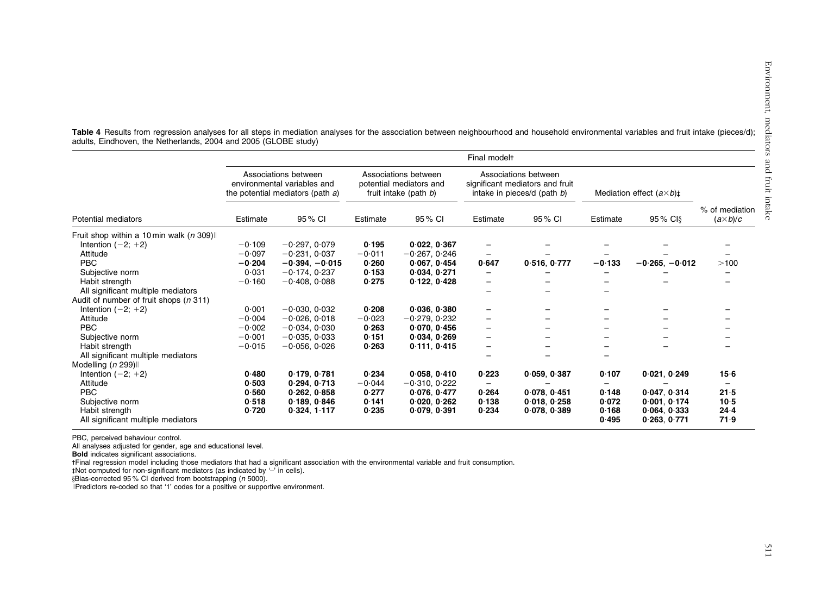|                                           | Final modelt |                                                                                         |                                                                          |                 |                                                                                        |              |                                   |                  |                                   |  |
|-------------------------------------------|--------------|-----------------------------------------------------------------------------------------|--------------------------------------------------------------------------|-----------------|----------------------------------------------------------------------------------------|--------------|-----------------------------------|------------------|-----------------------------------|--|
|                                           |              | Associations between<br>environmental variables and<br>the potential mediators (path a) | Associations between<br>potential mediators and<br>fruit intake (path b) |                 | Associations between<br>significant mediators and fruit<br>intake in pieces/d (path b) |              | Mediation effect $(a \times b)$ # |                  |                                   |  |
| <b>Potential mediators</b>                | Estimate     | 95 % CI                                                                                 | Estimate                                                                 | 95 % CI         | Estimate                                                                               | 95 % CI      | Estimate                          | 95 % CI          | % of mediation<br>$(a\times b)/c$ |  |
| Fruit shop within a 10 min walk (n 309) l |              |                                                                                         |                                                                          |                 |                                                                                        |              |                                   |                  |                                   |  |
| Intention $(-2; +2)$                      | $-0.109$     | $-0.297, 0.079$                                                                         | 0.195                                                                    | 0.022, 0.367    |                                                                                        |              |                                   |                  |                                   |  |
| Attitude                                  | $-0.097$     | $-0.231.0037$                                                                           | $-0.011$                                                                 | $-0.267, 0.246$ | -                                                                                      |              |                                   |                  |                                   |  |
| <b>PBC</b>                                | $-0.204$     | $-0.394. -0.015$                                                                        | 0.260                                                                    | 0.067.0.454     | 0.647                                                                                  | 0.516, 0.777 | $-0.133$                          | $-0.265. -0.012$ | >100                              |  |
| Subjective norm                           | 0.031        | $-0.174, 0.237$                                                                         | 0.153                                                                    | 0.034.0.271     |                                                                                        |              |                                   |                  |                                   |  |
| Habit strength                            | $-0.160$     | $-0.408, 0.088$                                                                         | 0.275                                                                    | 0.122, 0.428    | -                                                                                      |              |                                   |                  |                                   |  |
| All significant multiple mediators        |              |                                                                                         |                                                                          |                 |                                                                                        |              |                                   |                  |                                   |  |
| Audit of number of fruit shops (n 311)    |              |                                                                                         |                                                                          |                 |                                                                                        |              |                                   |                  |                                   |  |
| Intention $(-2; +2)$                      | 0.001        | $-0.030, 0.032$                                                                         | 0.208                                                                    | 0.036.0380      |                                                                                        |              |                                   |                  |                                   |  |
| Attitude                                  | $-0.004$     | $-0.026, 0.018$                                                                         | $-0.023$                                                                 | $-0.279.0.232$  |                                                                                        |              |                                   |                  |                                   |  |
| PBC                                       | $-0.002$     | $-0.034, 0.030$                                                                         | 0.263                                                                    | 0.070.0.456     |                                                                                        |              |                                   |                  |                                   |  |
| Subjective norm                           | $-0.001$     | $-0.035, 0.033$                                                                         | 0.151                                                                    | 0.034.0.269     |                                                                                        | -            |                                   |                  |                                   |  |
| Habit strength                            | $-0.015$     | $-0.056, 0.026$                                                                         | 0.263                                                                    | 0.111, 0.415    |                                                                                        |              |                                   |                  |                                   |  |
| All significant multiple mediators        |              |                                                                                         |                                                                          |                 |                                                                                        |              |                                   |                  |                                   |  |
| Modelling ( <i>n</i> 299) l               |              |                                                                                         |                                                                          |                 |                                                                                        |              |                                   |                  |                                   |  |
| Intention $(-2; +2)$                      | 0.480        | 0.179.0.781                                                                             | 0.234                                                                    | 0.058, 0.410    | 0.223                                                                                  | 0.059.0387   | 0.107                             | 0.021, 0.249     | 15.6                              |  |
| Attitude                                  | 0.503        | 0.294.0.713                                                                             | $-0.044$                                                                 | $-0.310.0.222$  | -                                                                                      |              |                                   |                  |                                   |  |
| <b>PBC</b>                                | 0.560        | 0.262.0.858                                                                             | 0.277                                                                    | 0.076.0.477     | 0.264                                                                                  | 0.078.0.451  | 0.148                             | 0.047.0.314      | 21.5                              |  |
| Subjective norm                           | 0.518        | 0.189.0.846                                                                             | 0.141                                                                    | 0.020, 0.262    | 0.138                                                                                  | 0.018, 0.258 | 0.072                             | 0.001, 0.174     | 10.5                              |  |
| Habit strength                            | 0.720        | 0.324, 1.117                                                                            | 0.235                                                                    | 0.079.0391      | 0.234                                                                                  | 0.078, 0.389 | 0.168                             | 0.064.0.333      | $24 - 4$                          |  |
| All significant multiple mediators        |              |                                                                                         |                                                                          |                 |                                                                                        |              | 0.495                             | 0.263, 0.771     | 71.9                              |  |
|                                           |              |                                                                                         |                                                                          |                 |                                                                                        |              |                                   |                  |                                   |  |

<span id="page-7-0"></span>Table 4 Results from regression analyses for all steps in mediation analyses for the association between neighbourhood and household environmental variables and fruit intake (pieces/d); adults, Eindhoven, the Netherlands, 2004 and 2005 (GLOBE study)

PBC, perceived behaviour control.

All analyses adjusted for gender, age and educational level.

Bold indicates significant associations.

-Final regression model including those mediators that had <sup>a</sup> significant association with the environmental variable and fruit consumption.

--Not computed for non-significant mediators (as indicated by '–' in cells).

yBias-corrected 95 % CI derived from bootstrapping (<sup>n</sup> 5000).

IPredictors re-coded so that '1' codes for a positive or supportive environment.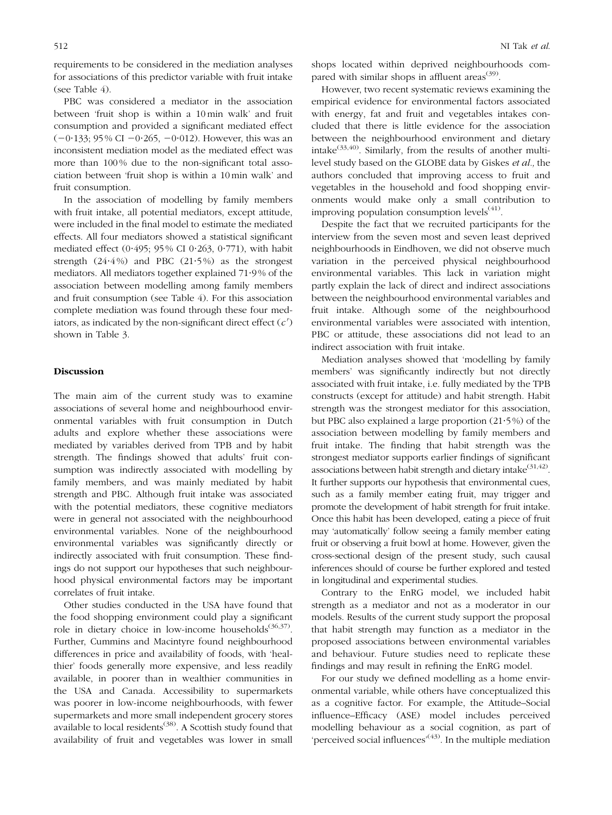requirements to be considered in the mediation analyses for associations of this predictor variable with fruit intake (see [Table 4\)](#page-7-0).

PBC was considered a mediator in the association between 'fruit shop is within a 10 min walk' and fruit consumption and provided a significant mediated effect  $(-0.133; 95\% \text{ CI} - 0.265, -0.012)$ . However, this was an inconsistent mediation model as the mediated effect was more than 100 % due to the non-significant total association between 'fruit shop is within a 10 min walk' and fruit consumption.

In the association of modelling by family members with fruit intake, all potential mediators, except attitude, were included in the final model to estimate the mediated effects. All four mediators showed a statistical significant mediated effect  $(0.495; 95\% \text{ CI } 0.263, 0.771)$ , with habit strength  $(24.4\%)$  and PBC  $(21.5\%)$  as the strongest mediators. All mediators together explained 71?9 % of the association between modelling among family members and fruit consumption (see [Table 4](#page-7-0)). For this association complete mediation was found through these four mediators, as indicated by the non-significant direct effect  $(c')$ shown in [Table 3.](#page-6-0)

#### Discussion

The main aim of the current study was to examine associations of several home and neighbourhood environmental variables with fruit consumption in Dutch adults and explore whether these associations were mediated by variables derived from TPB and by habit strength. The findings showed that adults' fruit consumption was indirectly associated with modelling by family members, and was mainly mediated by habit strength and PBC. Although fruit intake was associated with the potential mediators, these cognitive mediators were in general not associated with the neighbourhood environmental variables. None of the neighbourhood environmental variables was significantly directly or indirectly associated with fruit consumption. These findings do not support our hypotheses that such neighbourhood physical environmental factors may be important correlates of fruit intake.

Other studies conducted in the USA have found that the food shopping environment could play a significant role in dietary choice in low-income households<sup>([36,37\)](#page-10-0)</sup>. Further, Cummins and Macintyre found neighbourhood differences in price and availability of foods, with 'healthier' foods generally more expensive, and less readily available, in poorer than in wealthier communities in the USA and Canada. Accessibility to supermarkets was poorer in low-income neighbourhoods, with fewer supermarkets and more small independent grocery stores available to local residents<sup>([38\)](#page-10-0)</sup>. A Scottish study found that availability of fruit and vegetables was lower in small shops located within deprived neighbourhoods compared with similar shops in affluent areas<sup> $(39)$  $(39)$ </sup>.

However, two recent systematic reviews examining the empirical evidence for environmental factors associated with energy, fat and fruit and vegetables intakes concluded that there is little evidence for the association between the neighbourhood environment and dietary intake $(33,40)$  $(33,40)$ . Similarly, from the results of another multilevel study based on the GLOBE data by Giskes et al., the authors concluded that improving access to fruit and vegetables in the household and food shopping environments would make only a small contribution to improving population consumption levels $<sup>(41)</sup>$  $<sup>(41)</sup>$  $<sup>(41)</sup>$ .</sup>

Despite the fact that we recruited participants for the interview from the seven most and seven least deprived neighbourhoods in Eindhoven, we did not observe much variation in the perceived physical neighbourhood environmental variables. This lack in variation might partly explain the lack of direct and indirect associations between the neighbourhood environmental variables and fruit intake. Although some of the neighbourhood environmental variables were associated with intention, PBC or attitude, these associations did not lead to an indirect association with fruit intake.

Mediation analyses showed that 'modelling by family members' was significantly indirectly but not directly associated with fruit intake, i.e. fully mediated by the TPB constructs (except for attitude) and habit strength. Habit strength was the strongest mediator for this association, but PBC also explained a large proportion  $(21.5\%)$  of the association between modelling by family members and fruit intake. The finding that habit strength was the strongest mediator supports earlier findings of significant associations between habit strength and dietary intake $^{(31,42)}$  $^{(31,42)}$  $^{(31,42)}$ . It further supports our hypothesis that environmental cues, such as a family member eating fruit, may trigger and promote the development of habit strength for fruit intake. Once this habit has been developed, eating a piece of fruit may 'automatically' follow seeing a family member eating fruit or observing a fruit bowl at home. However, given the cross-sectional design of the present study, such causal inferences should of course be further explored and tested in longitudinal and experimental studies.

Contrary to the EnRG model, we included habit strength as a mediator and not as a moderator in our models. Results of the current study support the proposal that habit strength may function as a mediator in the proposed associations between environmental variables and behaviour. Future studies need to replicate these findings and may result in refining the EnRG model.

For our study we defined modelling as a home environmental variable, while others have conceptualized this as a cognitive factor. For example, the Attitude–Social influence–Efficacy (ASE) model includes perceived modelling behaviour as a social cognition, as part of 'perceived social influences'<sup>([43\)](#page-10-0)</sup>. In the multiple mediation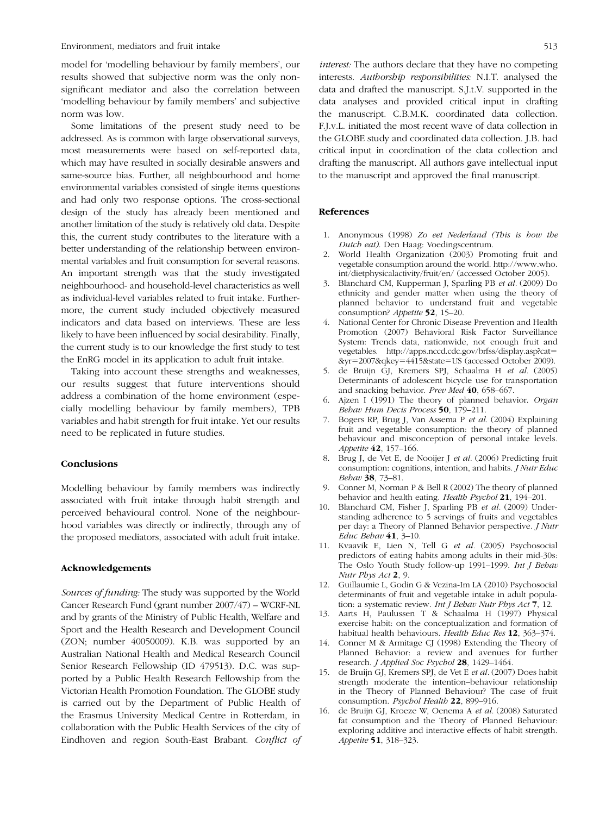<span id="page-9-0"></span>model for 'modelling behaviour by family members', our results showed that subjective norm was the only nonsignificant mediator and also the correlation between 'modelling behaviour by family members' and subjective norm was low.

Some limitations of the present study need to be addressed. As is common with large observational surveys, most measurements were based on self-reported data, which may have resulted in socially desirable answers and same-source bias. Further, all neighbourhood and home environmental variables consisted of single items questions and had only two response options. The cross-sectional design of the study has already been mentioned and another limitation of the study is relatively old data. Despite this, the current study contributes to the literature with a better understanding of the relationship between environmental variables and fruit consumption for several reasons. An important strength was that the study investigated neighbourhood- and household-level characteristics as well as individual-level variables related to fruit intake. Furthermore, the current study included objectively measured indicators and data based on interviews. These are less likely to have been influenced by social desirability. Finally, the current study is to our knowledge the first study to test the EnRG model in its application to adult fruit intake.

Taking into account these strengths and weaknesses, our results suggest that future interventions should address a combination of the home environment (especially modelling behaviour by family members), TPB variables and habit strength for fruit intake. Yet our results need to be replicated in future studies.

#### **Conclusions**

Modelling behaviour by family members was indirectly associated with fruit intake through habit strength and perceived behavioural control. None of the neighbourhood variables was directly or indirectly, through any of the proposed mediators, associated with adult fruit intake.

#### Acknowledgements

Sources of funding: The study was supported by the World Cancer Research Fund (grant number 2007/47) – WCRF-NL and by grants of the Ministry of Public Health, Welfare and Sport and the Health Research and Development Council (ZON; number 40050009). K.B. was supported by an Australian National Health and Medical Research Council Senior Research Fellowship (ID 479513). D.C. was supported by a Public Health Research Fellowship from the Victorian Health Promotion Foundation. The GLOBE study is carried out by the Department of Public Health of the Erasmus University Medical Centre in Rotterdam, in collaboration with the Public Health Services of the city of Eindhoven and region South-East Brabant. Conflict of

#### References

1. Anonymous (1998) Zo eet Nederland (This is how the Dutch eat). Den Haag: Voedingscentrum.

drafting the manuscript. All authors gave intellectual input to the manuscript and approved the final manuscript.

- 2. World Health Organization (2003) Promoting fruit and vegetable consumption around the world. http://www.who. int/dietphysicalactivity/fruit/en/ (accessed October 2005).
- 3. Blanchard CM, Kupperman J, Sparling PB et al. (2009) Do ethnicity and gender matter when using the theory of planned behavior to understand fruit and vegetable consumption? Appetite 52, 15–20.
- 4. National Center for Chronic Disease Prevention and Health Promotion (2007) Behavioral Risk Factor Surveillance System: Trends data, nationwide, not enough fruit and vegetables. http://apps.nccd.cdc.gov/brfss/display.asp?cat5 &yr52007&qkey54415&state5US (accessed October 2009).
- 5. de Bruijn GJ, Kremers SPJ, Schaalma H et al. (2005) Determinants of adolescent bicycle use for transportation and snacking behavior. Prev Med 40, 658-667.
- 6. Ajzen I (1991) The theory of planned behavior. Organ Behav Hum Decis Process 50, 179–211.
- 7. Bogers RP, Brug J, Van Assema P et al. (2004) Explaining fruit and vegetable consumption: the theory of planned behaviour and misconception of personal intake levels. Appetite 42, 157–166.
- 8. Brug J, de Vet E, de Nooijer J et al. (2006) Predicting fruit consumption: cognitions, intention, and habits. J Nutr Educ Behav 38, 73–81.
- 9. Conner M, Norman P & Bell R (2002) The theory of planned behavior and health eating. Health Psychol 21, 194–201.
- 10. Blanchard CM, Fisher J, Sparling PB et al. (2009) Understanding adherence to 5 servings of fruits and vegetables per day: a Theory of Planned Behavior perspective. J Nutr Educ Behav 41, 3–10.
- 11. Kvaavik E, Lien N, Tell G et al. (2005) Psychosocial predictors of eating habits among adults in their mid-30s: The Oslo Youth Study follow-up 1991-1999. Int J Behav Nutr Phys Act 2, 9.
- 12. Guillaumie L, Godin G & Vezina-Im LA (2010) Psychosocial determinants of fruit and vegetable intake in adult population: a systematic review. Int J Behav Nutr Phys Act 7, 12.
- 13. Aarts H, Paulussen T & Schaalma H (1997) Physical exercise habit: on the conceptualization and formation of habitual health behaviours. Health Educ Res 12, 363–374.
- 14. Conner M & Armitage CJ (1998) Extending the Theory of Planned Behavior: a review and avenues for further research. J Applied Soc Psychol 28, 1429–1464.
- 15. de Bruijn GJ, Kremers SPJ, de Vet E et al. (2007) Does habit strength moderate the intention–behaviour relationship in the Theory of Planned Behaviour? The case of fruit consumption. Psychol Health 22, 899–916.
- de Bruijn GJ, Kroeze W, Oenema A et al. (2008) Saturated fat consumption and the Theory of Planned Behaviour: exploring additive and interactive effects of habit strength. Appetite 51, 318–323.